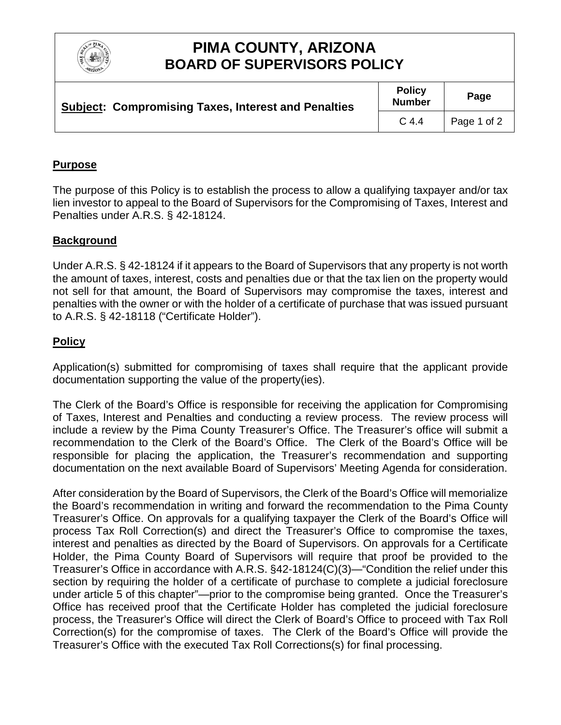

# **PIMA COUNTY, ARIZONA BOARD OF SUPERVISORS POLICY**

| <b>Subject: Compromising Taxes, Interest and Penalties</b> | <b>Policy</b><br><b>Number</b> | Page        |
|------------------------------------------------------------|--------------------------------|-------------|
|                                                            | C <sub>4.4</sub>               | Page 1 of 2 |

### **Purpose**

The purpose of this Policy is to establish the process to allow a qualifying taxpayer and/or tax lien investor to appeal to the Board of Supervisors for the Compromising of Taxes, Interest and Penalties under A.R.S. § 42-18124.

#### **Background**

Under A.R.S. § 42-18124 if it appears to the Board of Supervisors that any property is not worth the amount of taxes, interest, costs and penalties due or that the tax lien on the property would not sell for that amount, the Board of Supervisors may compromise the taxes, interest and penalties with the owner or with the holder of a certificate of purchase that was issued pursuant to A.R.S. § 42-18118 ("Certificate Holder").

### **Policy**

Application(s) submitted for compromising of taxes shall require that the applicant provide documentation supporting the value of the property(ies).

The Clerk of the Board's Office is responsible for receiving the application for Compromising of Taxes, Interest and Penalties and conducting a review process. The review process will include a review by the Pima County Treasurer's Office. The Treasurer's office will submit a recommendation to the Clerk of the Board's Office. The Clerk of the Board's Office will be responsible for placing the application, the Treasurer's recommendation and supporting documentation on the next available Board of Supervisors' Meeting Agenda for consideration.

After consideration by the Board of Supervisors, the Clerk of the Board's Office will memorialize the Board's recommendation in writing and forward the recommendation to the Pima County Treasurer's Office. On approvals for a qualifying taxpayer the Clerk of the Board's Office will process Tax Roll Correction(s) and direct the Treasurer's Office to compromise the taxes, interest and penalties as directed by the Board of Supervisors. On approvals for a Certificate Holder, the Pima County Board of Supervisors will require that proof be provided to the Treasurer's Office in accordance with A.R.S. §42-18124(C)(3)—"Condition the relief under this section by requiring the holder of a certificate of purchase to complete a judicial foreclosure under article 5 of this chapter"—prior to the compromise being granted. Once the Treasurer's Office has received proof that the Certificate Holder has completed the judicial foreclosure process, the Treasurer's Office will direct the Clerk of Board's Office to proceed with Tax Roll Correction(s) for the compromise of taxes. The Clerk of the Board's Office will provide the Treasurer's Office with the executed Tax Roll Corrections(s) for final processing.